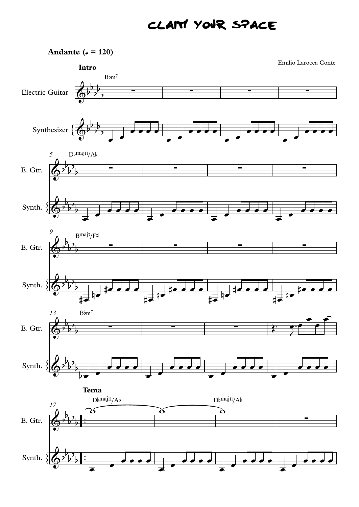## CLAIM YOUR SPACE

Andante  $\overline{a} = 120$